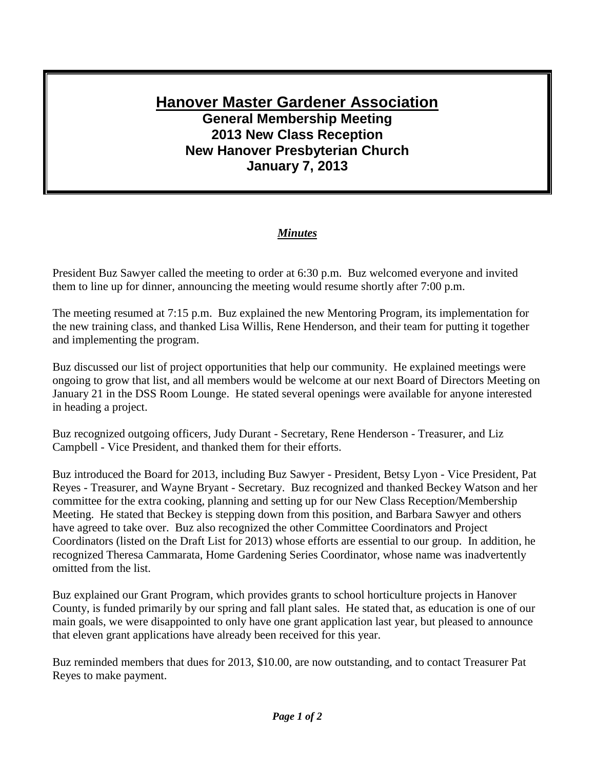## **Hanover Master Gardener Association General Membership Meeting 2013 New Class Reception New Hanover Presbyterian Church January 7, 2013**

## *Minutes*

President Buz Sawyer called the meeting to order at 6:30 p.m. Buz welcomed everyone and invited them to line up for dinner, announcing the meeting would resume shortly after 7:00 p.m.

The meeting resumed at 7:15 p.m. Buz explained the new Mentoring Program, its implementation for the new training class, and thanked Lisa Willis, Rene Henderson, and their team for putting it together and implementing the program.

Buz discussed our list of project opportunities that help our community. He explained meetings were ongoing to grow that list, and all members would be welcome at our next Board of Directors Meeting on January 21 in the DSS Room Lounge. He stated several openings were available for anyone interested in heading a project.

Buz recognized outgoing officers, Judy Durant - Secretary, Rene Henderson - Treasurer, and Liz Campbell - Vice President, and thanked them for their efforts.

Buz introduced the Board for 2013, including Buz Sawyer - President, Betsy Lyon - Vice President, Pat Reyes - Treasurer, and Wayne Bryant - Secretary. Buz recognized and thanked Beckey Watson and her committee for the extra cooking, planning and setting up for our New Class Reception/Membership Meeting. He stated that Beckey is stepping down from this position, and Barbara Sawyer and others have agreed to take over. Buz also recognized the other Committee Coordinators and Project Coordinators (listed on the Draft List for 2013) whose efforts are essential to our group. In addition, he recognized Theresa Cammarata, Home Gardening Series Coordinator, whose name was inadvertently omitted from the list.

Buz explained our Grant Program, which provides grants to school horticulture projects in Hanover County, is funded primarily by our spring and fall plant sales. He stated that, as education is one of our main goals, we were disappointed to only have one grant application last year, but pleased to announce that eleven grant applications have already been received for this year.

Buz reminded members that dues for 2013, \$10.00, are now outstanding, and to contact Treasurer Pat Reyes to make payment.